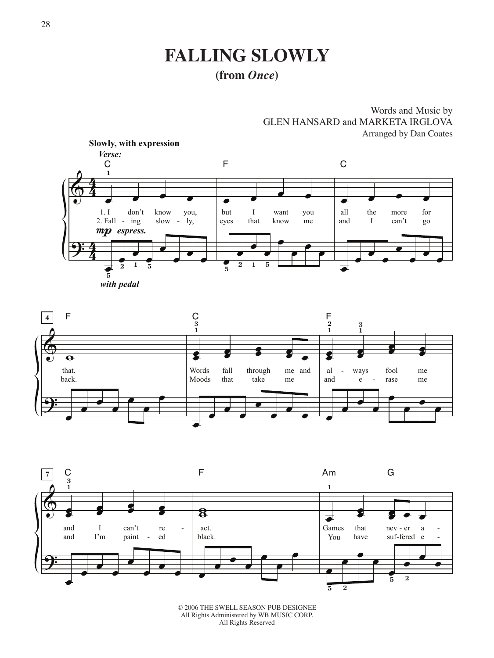# **Falling Slowly**

### **(from** *Once***)**







© 2006 THE SWELL SEASON PUB DESIGNEE All Rights Administered by WB MUSIC CORP. All Rights Reserved

Words and Music by GLEN HANSARD and MARKETA IRGLOVA Arranged by Dan Coates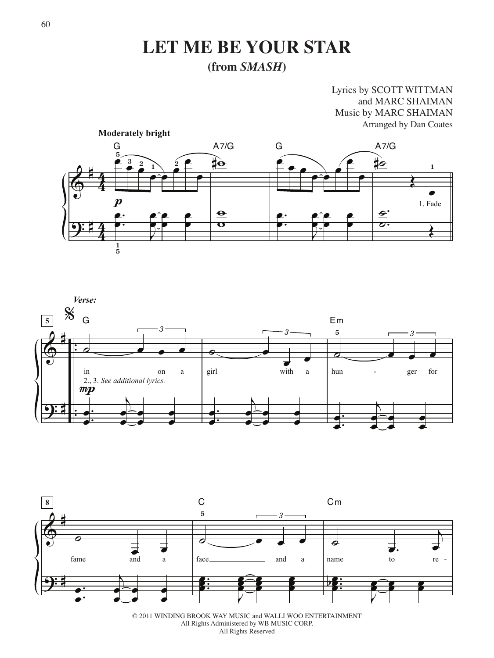### **Let Me Be Your Star (from** *SMASH***)**

#### Lyrics by SCOTT WITTMAN and MARC SHAIMAN Music by MARC SHAIMAN Arranged by Dan Coates







<sup>© 2011</sup> WINDING BROOK WAY MUSIC and WALLI WOO ENTERTAINMENT All Rights Administered by WB MUSIC CORP. All Rights Reserved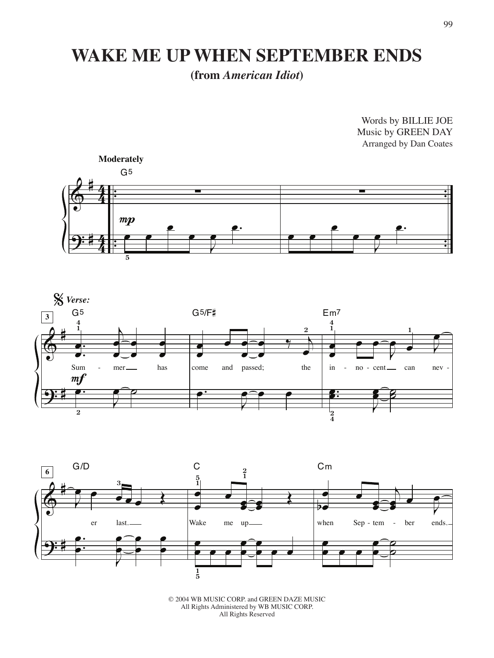# **WAKE ME UP WHEN SEPTEMBER ENDS**

**(from** *American Idiot***)**

 $\bigcirc$ <u>.</u> # # <u>年</u> 4 <u>年</u> 4 . . . . .<br>.<br>. :<br>:<br>: .<br>.<br>. :<br>:<br>: ∑ œ **5** œ œ  $\rightarrow$ œ œ. G5 **Moderately**  $mp$ ∑ œ œ œ  $\rightarrow$ œ œ. Arranged by Dan Coates





© 2004 WB MUSIC CORP. and GREEN DAZE MUSIC All Rights Administered by WB MUSIC CORP. All Rights Reserved

Words by BILLIE JOE Music by GREEN DAY